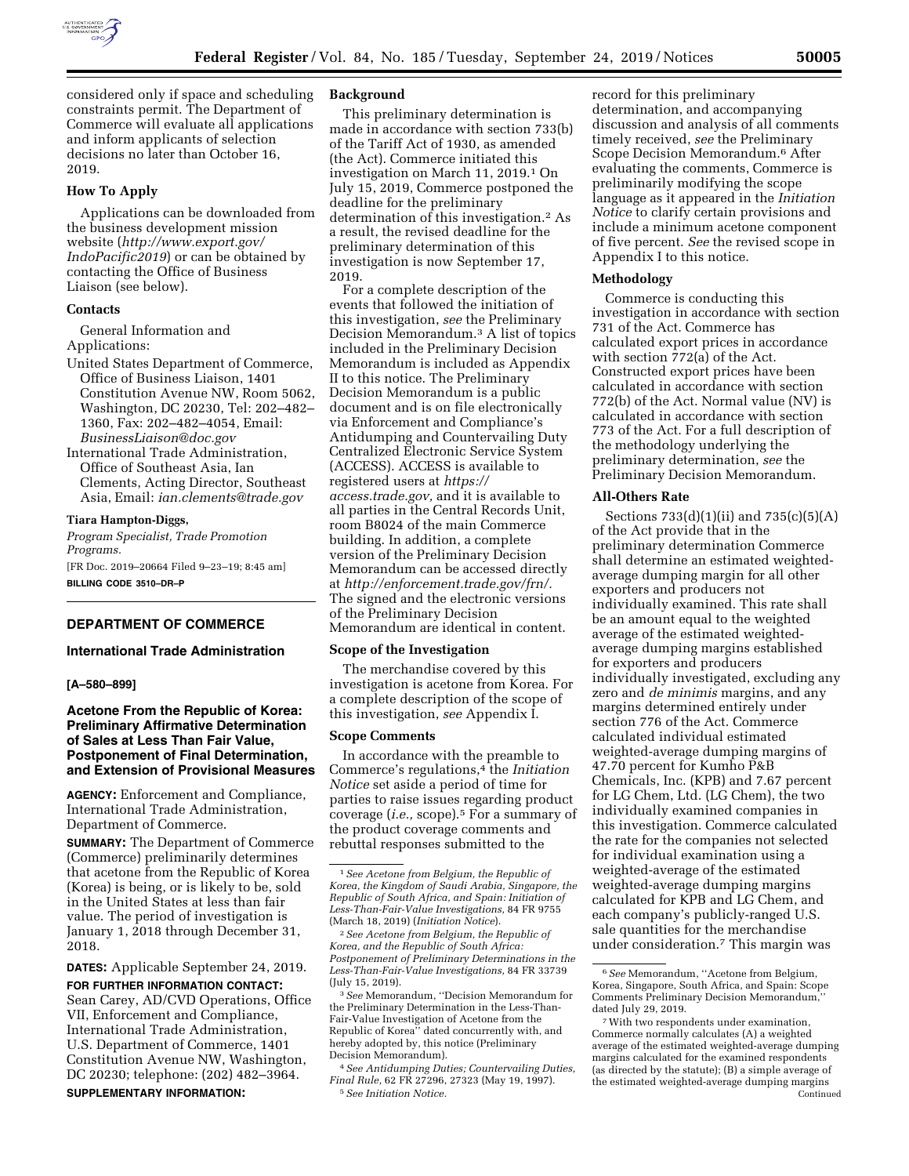

considered only if space and scheduling constraints permit. The Department of Commerce will evaluate all applications and inform applicants of selection decisions no later than October 16, 2019.

# **How To Apply**

Applications can be downloaded from the business development mission website (*[http://www.export.gov/](http://www.export.gov/IndoPacific2019) [IndoPacific2019](http://www.export.gov/IndoPacific2019)*) or can be obtained by contacting the Office of Business Liaison (see below).

### **Contacts**

General Information and Applications:

- United States Department of Commerce, Office of Business Liaison, 1401 Constitution Avenue NW, Room 5062, Washington, DC 20230, Tel: 202–482– 1360, Fax: 202–482–4054, Email: *[BusinessLiaison@doc.gov](mailto:BusinessLiaison@doc.gov)*
- International Trade Administration, Office of Southeast Asia, Ian Clements, Acting Director, Southeast Asia, Email: *[ian.clements@trade.gov](mailto:ian.clements@trade.gov)*

#### **Tiara Hampton-Diggs,**

*Program Specialist, Trade Promotion Programs.* 

[FR Doc. 2019–20664 Filed 9–23–19; 8:45 am] **BILLING CODE 3510–DR–P** 

# **DEPARTMENT OF COMMERCE**

# **International Trade Administration**

#### **[A–580–899]**

# **Acetone From the Republic of Korea: Preliminary Affirmative Determination of Sales at Less Than Fair Value, Postponement of Final Determination, and Extension of Provisional Measures**

**AGENCY:** Enforcement and Compliance, International Trade Administration, Department of Commerce.

**SUMMARY:** The Department of Commerce (Commerce) preliminarily determines that acetone from the Republic of Korea (Korea) is being, or is likely to be, sold in the United States at less than fair value. The period of investigation is January 1, 2018 through December 31, 2018.

**DATES:** Applicable September 24, 2019. **FOR FURTHER INFORMATION CONTACT:**  Sean Carey, AD/CVD Operations, Office VII, Enforcement and Compliance, International Trade Administration, U.S. Department of Commerce, 1401 Constitution Avenue NW, Washington, DC 20230; telephone: (202) 482–3964. **SUPPLEMENTARY INFORMATION:** 

# **Background**

This preliminary determination is made in accordance with section 733(b) of the Tariff Act of 1930, as amended (the Act). Commerce initiated this investigation on March 11, 2019.1 On July 15, 2019, Commerce postponed the deadline for the preliminary determination of this investigation.2 As a result, the revised deadline for the preliminary determination of this investigation is now September 17, 2019.

For a complete description of the events that followed the initiation of this investigation, *see* the Preliminary Decision Memorandum.3 A list of topics included in the Preliminary Decision Memorandum is included as Appendix II to this notice. The Preliminary Decision Memorandum is a public document and is on file electronically via Enforcement and Compliance's Antidumping and Countervailing Duty Centralized Electronic Service System (ACCESS). ACCESS is available to registered users at *[https://](https://access.trade.gov) [access.trade.gov,](https://access.trade.gov)* and it is available to all parties in the Central Records Unit, room B8024 of the main Commerce building. In addition, a complete version of the Preliminary Decision Memorandum can be accessed directly at *[http://enforcement.trade.gov/frn/.](http://enforcement.trade.gov/frn/)*  The signed and the electronic versions of the Preliminary Decision Memorandum are identical in content.

### **Scope of the Investigation**

The merchandise covered by this investigation is acetone from Korea. For a complete description of the scope of this investigation, *see* Appendix I.

#### **Scope Comments**

In accordance with the preamble to Commerce's regulations,4 the *Initiation Notice* set aside a period of time for parties to raise issues regarding product coverage (*i.e.,* scope).5 For a summary of the product coverage comments and rebuttal responses submitted to the

2*See Acetone from Belgium, the Republic of Korea, and the Republic of South Africa: Postponement of Preliminary Determinations in the Less-Than-Fair-Value Investigations,* 84 FR 33739 (July 15, 2019).

3*See* Memorandum, ''Decision Memorandum for the Preliminary Determination in the Less-Than-Fair-Value Investigation of Acetone from the Republic of Korea'' dated concurrently with, and hereby adopted by, this notice (Preliminary Decision Memorandum).

4*See Antidumping Duties; Countervailing Duties, Final Rule,* 62 FR 27296, 27323 (May 19, 1997). 5*See Initiation Notice.* 

record for this preliminary determination, and accompanying discussion and analysis of all comments timely received, *see* the Preliminary Scope Decision Memorandum.6 After evaluating the comments, Commerce is preliminarily modifying the scope language as it appeared in the *Initiation Notice* to clarify certain provisions and include a minimum acetone component of five percent. *See* the revised scope in Appendix I to this notice.

#### **Methodology**

Commerce is conducting this investigation in accordance with section 731 of the Act. Commerce has calculated export prices in accordance with section 772(a) of the Act. Constructed export prices have been calculated in accordance with section 772(b) of the Act. Normal value (NV) is calculated in accordance with section 773 of the Act. For a full description of the methodology underlying the preliminary determination, *see* the Preliminary Decision Memorandum.

#### **All-Others Rate**

Sections 733(d)(1)(ii) and 735(c)(5)(A) of the Act provide that in the preliminary determination Commerce shall determine an estimated weightedaverage dumping margin for all other exporters and producers not individually examined. This rate shall be an amount equal to the weighted average of the estimated weightedaverage dumping margins established for exporters and producers individually investigated, excluding any zero and *de minimis* margins, and any margins determined entirely under section 776 of the Act. Commerce calculated individual estimated weighted-average dumping margins of 47.70 percent for Kumho P&B Chemicals, Inc. (KPB) and 7.67 percent for LG Chem, Ltd. (LG Chem), the two individually examined companies in this investigation. Commerce calculated the rate for the companies not selected for individual examination using a weighted-average of the estimated weighted-average dumping margins calculated for KPB and LG Chem, and each company's publicly-ranged U.S. sale quantities for the merchandise under consideration.7 This margin was

<sup>1</sup>*See Acetone from Belgium, the Republic of Korea, the Kingdom of Saudi Arabia, Singapore, the Republic of South Africa, and Spain: Initiation of Less-Than-Fair-Value Investigations,* 84 FR 9755 (March 18, 2019) (*Initiation Notice*).

<sup>6</sup>*See* Memorandum, ''Acetone from Belgium, Korea, Singapore, South Africa, and Spain: Scope Comments Preliminary Decision Memorandum,'' dated July 29, 2019.

<sup>7</sup>With two respondents under examination, Commerce normally calculates (A) a weighted average of the estimated weighted-average dumping margins calculated for the examined respondents (as directed by the statute); (B) a simple average of the estimated weighted-average dumping margins Continued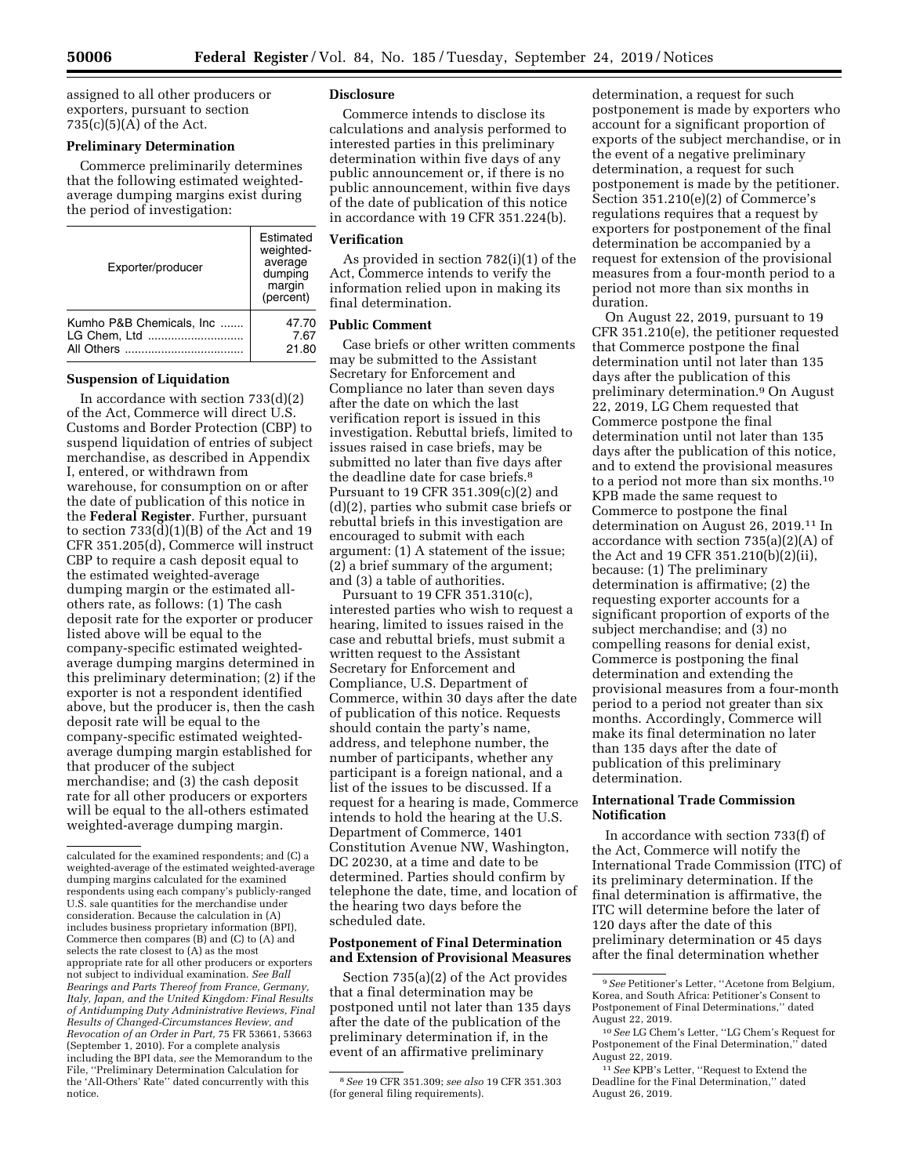assigned to all other producers or exporters, pursuant to section  $735(c)(5)(A)$  of the Act.

# **Preliminary Determination**

Commerce preliminarily determines that the following estimated weightedaverage dumping margins exist during the period of investigation:

| Exporter/producer                                      | Estimated<br>weighted-<br>average<br>dumping<br>margin<br>(percent) |
|--------------------------------------------------------|---------------------------------------------------------------------|
| Kumho P&B Chemicals, Inc<br>LG Chem. Ltd<br>All Others | 47.70<br>7.67<br>21.80                                              |

#### **Suspension of Liquidation**

In accordance with section  $733(d)(2)$ of the Act, Commerce will direct U.S. Customs and Border Protection (CBP) to suspend liquidation of entries of subject merchandise, as described in Appendix I, entered, or withdrawn from warehouse, for consumption on or after the date of publication of this notice in the **Federal Register**. Further, pursuant to section 733(d)(1)(B) of the Act and 19 CFR 351.205(d), Commerce will instruct CBP to require a cash deposit equal to the estimated weighted-average dumping margin or the estimated allothers rate, as follows: (1) The cash deposit rate for the exporter or producer listed above will be equal to the company-specific estimated weightedaverage dumping margins determined in this preliminary determination; (2) if the exporter is not a respondent identified above, but the producer is, then the cash deposit rate will be equal to the company-specific estimated weightedaverage dumping margin established for that producer of the subject merchandise; and (3) the cash deposit rate for all other producers or exporters will be equal to the all-others estimated weighted-average dumping margin.

### **Disclosure**

Commerce intends to disclose its calculations and analysis performed to interested parties in this preliminary determination within five days of any public announcement or, if there is no public announcement, within five days of the date of publication of this notice in accordance with 19 CFR 351.224(b).

#### **Verification**

As provided in section 782(i)(1) of the Act, Commerce intends to verify the information relied upon in making its final determination.

# **Public Comment**

Case briefs or other written comments may be submitted to the Assistant Secretary for Enforcement and Compliance no later than seven days after the date on which the last verification report is issued in this investigation. Rebuttal briefs, limited to issues raised in case briefs, may be submitted no later than five days after the deadline date for case briefs.8 Pursuant to 19 CFR 351.309(c)(2) and (d)(2), parties who submit case briefs or rebuttal briefs in this investigation are encouraged to submit with each argument: (1) A statement of the issue; (2) a brief summary of the argument; and (3) a table of authorities.

Pursuant to 19 CFR 351.310(c), interested parties who wish to request a hearing, limited to issues raised in the case and rebuttal briefs, must submit a written request to the Assistant Secretary for Enforcement and Compliance, U.S. Department of Commerce, within 30 days after the date of publication of this notice. Requests should contain the party's name, address, and telephone number, the number of participants, whether any participant is a foreign national, and a list of the issues to be discussed. If a request for a hearing is made, Commerce intends to hold the hearing at the U.S. Department of Commerce, 1401 Constitution Avenue NW, Washington, DC 20230, at a time and date to be determined. Parties should confirm by telephone the date, time, and location of the hearing two days before the scheduled date.

### **Postponement of Final Determination and Extension of Provisional Measures**

Section 735(a)(2) of the Act provides that a final determination may be postponed until not later than 135 days after the date of the publication of the preliminary determination if, in the event of an affirmative preliminary

determination, a request for such postponement is made by exporters who account for a significant proportion of exports of the subject merchandise, or in the event of a negative preliminary determination, a request for such postponement is made by the petitioner. Section 351.210(e)(2) of Commerce's regulations requires that a request by exporters for postponement of the final determination be accompanied by a request for extension of the provisional measures from a four-month period to a period not more than six months in duration.

On August 22, 2019, pursuant to 19 CFR 351.210(e), the petitioner requested that Commerce postpone the final determination until not later than 135 days after the publication of this preliminary determination.9 On August 22, 2019, LG Chem requested that Commerce postpone the final determination until not later than 135 days after the publication of this notice, and to extend the provisional measures to a period not more than six months.10 KPB made the same request to Commerce to postpone the final determination on August 26, 2019.11 In accordance with section 735(a)(2)(A) of the Act and 19 CFR 351.210(b)(2)(ii), because: (1) The preliminary determination is affirmative; (2) the requesting exporter accounts for a significant proportion of exports of the subject merchandise; and (3) no compelling reasons for denial exist, Commerce is postponing the final determination and extending the provisional measures from a four-month period to a period not greater than six months. Accordingly, Commerce will make its final determination no later than 135 days after the date of publication of this preliminary determination.

# **International Trade Commission Notification**

In accordance with section 733(f) of the Act, Commerce will notify the International Trade Commission (ITC) of its preliminary determination. If the final determination is affirmative, the ITC will determine before the later of 120 days after the date of this preliminary determination or 45 days after the final determination whether

calculated for the examined respondents; and (C) a weighted-average of the estimated weighted-average dumping margins calculated for the examined respondents using each company's publicly-ranged U.S. sale quantities for the merchandise under consideration. Because the calculation in (A) includes business proprietary information (BPI), Commerce then compares (B) and (C) to (A) and selects the rate closest to (A) as the most appropriate rate for all other producers or exporters not subject to individual examination. *See Ball Bearings and Parts Thereof from France, Germany, Italy, Japan, and the United Kingdom: Final Results of Antidumping Duty Administrative Reviews, Final Results of Changed-Circumstances Review, and Revocation of an Order in Part,* 75 FR 53661, 53663 (September 1, 2010). For a complete analysis including the BPI data, *see* the Memorandum to the File, ''Preliminary Determination Calculation for the 'All-Others' Rate'' dated concurrently with this notice.

<sup>8</sup>*See* 19 CFR 351.309; *see also* 19 CFR 351.303 (for general filing requirements).

<sup>9</sup>*See* Petitioner's Letter, ''Acetone from Belgium, Korea, and South Africa: Petitioner's Consent to Postponement of Final Determinations,'' dated August 22, 2019.

<sup>10</sup>*See* LG Chem's Letter, ''LG Chem's Request for Postponement of the Final Determination,'' dated August 22, 2019.

<sup>11</sup>*See* KPB's Letter, ''Request to Extend the Deadline for the Final Determination,'' dated August 26, 2019.